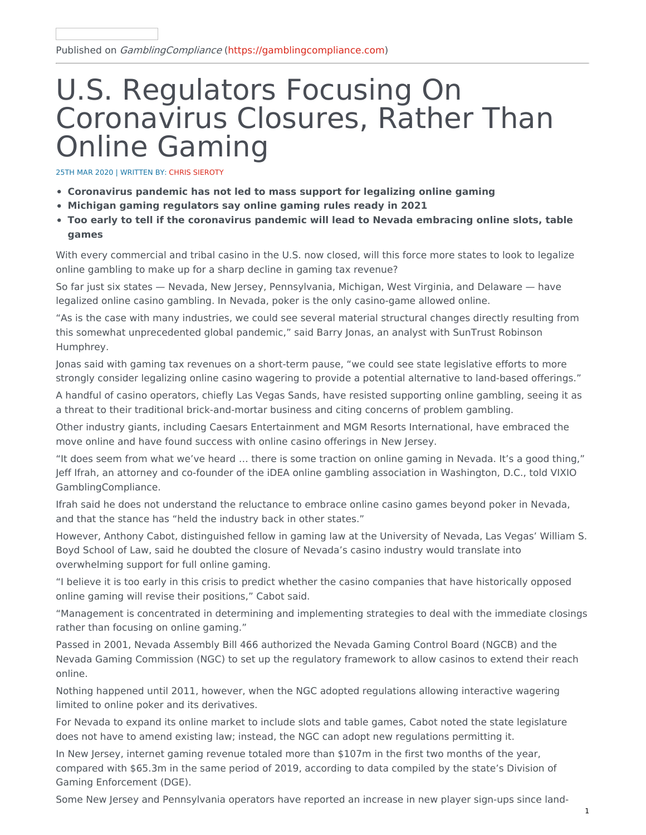# U.S. Regulators Focusing On Coronavirus Closures, Rather Than Online Gaming

25TH MAR 2020 | WRITTEN BY: CHRIS SIEROTY

- **Coronavirus pandemic has not led to mass support for legalizing online gaming**
- **Michigan gaming regulators say online gaming rules ready in 2021**
- **Too early to tell if the coronavirus pandemic will lead to Nevada embracing online slots, table games**

With every commercial and tribal casino in the U.S. now closed, will this force more states to look to legalize online gambling to make up for a sharp decline in gaming tax revenue?

So far just six states — Nevada, New Jersey, Pennsylvania, Michigan, West Virginia, and Delaware — have legalized online casino gambling. In Nevada, poker is the only casino-game allowed online.

"As is the case with many industries, we could see several material structural changes directly resulting from this somewhat unprecedented global pandemic," said Barry Jonas, an analyst with SunTrust Robinson Humphrey.

Jonas said with gaming tax revenues on a short-term pause, "we could see state legislative efforts to more strongly consider legalizing online casino wagering to provide a potential alternative to land-based offerings."

A handful of casino operators, chiefly Las Vegas Sands, have resisted supporting online gambling, seeing it as a threat to their traditional brick-and-mortar business and citing concerns of problem gambling.

Other industry giants, including Caesars Entertainment and MGM Resorts International, have embraced the move online and have found success with online casino offerings in New Jersey.

"It does seem from what we've heard … there is some traction on online gaming in Nevada. It's a good thing," Jeff Ifrah, an attorney and co-founder of the iDEA online gambling association in Washington, D.C., told VIXIO GamblingCompliance.

Ifrah said he does not understand the reluctance to embrace online casino games beyond poker in Nevada, and that the stance has "held the industry back in other states."

However, Anthony Cabot, distinguished fellow in gaming law at the University of Nevada, Las Vegas' William S. Boyd School of Law, said he doubted the closure of Nevada's casino industry would translate into overwhelming support for full online gaming.

"I believe it is too early in this crisis to predict whether the casino companies that have historically opposed online gaming will revise their positions," Cabot said.

"Management is concentrated in determining and implementing strategies to deal with the immediate closings rather than focusing on online gaming."

Passed in 2001, Nevada Assembly Bill 466 authorized the Nevada Gaming Control Board (NGCB) and the Nevada Gaming Commission (NGC) to set up the regulatory framework to allow casinos to extend their reach online.

Nothing happened until 2011, however, when the NGC adopted regulations allowing interactive wagering limited to online poker and its derivatives.

For Nevada to expand its online market to include slots and table games, Cabot noted the state legislature does not have to amend existing law; instead, the NGC can adopt new regulations permitting it.

In New Jersey, internet gaming revenue totaled more than \$107m in the first two months of the year, compared with \$65.3m in the same period of 2019, according to data compiled by the state's Division of Gaming Enforcement (DGE).

Some New Jersey and Pennsylvania operators have reported an increase in new player sign-ups since land-